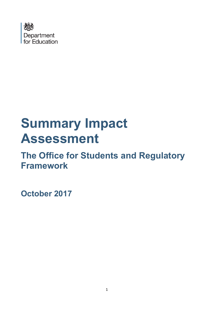

# **Summary Impact Assessment**

## **The Office for Students and Regulatory Framework**

**October 2017**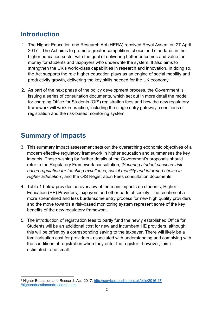## **Introduction**

- 1. The Higher Education and Research Act (HERA) received Royal Assent on 27 April 2017[1.](#page-1-0) The Act aims to promote greater competition, choice and standards in the higher education sector with the goal of delivering better outcomes and value for money for students and taxpayers who underwrite the system. It also aims to strengthen the UK's world-class capabilities in research and innovation. In doing so, the Act supports the role higher education plays as an engine of social mobility and productivity growth, delivering the key skills needed for the UK economy.
- 2. As part of the next phase of the policy development process, the Government is issuing a series of consultation documents, which set out in more detail the model for charging Office for Students (OfS) registration fees and how the new regulatory framework will work in practice, including the single entry gateway, conditions of registration and the risk-based monitoring system.

## **Summary of impacts**

- 3. This summary impact assessment sets out the overarching economic objectives of a modern effective regulatory framework in higher education and summarises the key impacts. Those wishing for further details of the Government's proposals should refer to the Regulatory Framework consultation, *'Securing student success: riskbased regulation for teaching excellence, social mobility and informed choice in Higher Education'*, and the OfS Registration Fees consultation documents.
- 4. Table 1 below provides an overview of the main impacts on students, Higher Education (HE) Providers, taxpayers and other parts of society. The creation of a more streamlined and less burdensome entry process for new high quality providers and the move towards a risk-based monitoring system represent some of the key benefits of the new regulatory framework.
- 5. The introduction of registration fees to partly fund the newly established Office for Students will be an additional cost for new and incumbent HE providers, although, this will be offset by a corresponding saving to the taxpayer. There will likely be a familiarisation cost for providers - associated with understanding and complying with the conditions of registration when they enter the register - however, this is estimated to be small.

<span id="page-1-0"></span> $\overline{\phantom{a}}$ <sup>1</sup> Higher Education and Research Act, 2017, [http://services.parliament.uk/bills/2016-17](http://services.parliament.uk/bills/2016-17/highereducationandresearch.html) [/highereducationandresearch.html](http://services.parliament.uk/bills/2016-17/highereducationandresearch.html)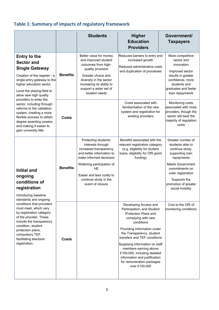### **Table 1: Summary of impacts of regulatory framework**

|                                                                                                                                                                                                                                                                                                                                                                                                                                                  |                 | <b>Students</b>                                                                                                                                                                                                                          | <b>Higher</b><br><b>Education</b><br><b>Providers</b>                                                                                                                                                                                                                                                                                                                                 | Government/<br><b>Taxpayers</b>                                                                                                                                                                                         |
|--------------------------------------------------------------------------------------------------------------------------------------------------------------------------------------------------------------------------------------------------------------------------------------------------------------------------------------------------------------------------------------------------------------------------------------------------|-----------------|------------------------------------------------------------------------------------------------------------------------------------------------------------------------------------------------------------------------------------------|---------------------------------------------------------------------------------------------------------------------------------------------------------------------------------------------------------------------------------------------------------------------------------------------------------------------------------------------------------------------------------------|-------------------------------------------------------------------------------------------------------------------------------------------------------------------------------------------------------------------------|
| <b>Entry to the</b><br><b>Sector and</b><br><b>Single Gateway</b><br>Creation of the register - a<br>single entry gateway to the<br>higher education sector.<br>Level the playing-field to<br>allow new high quality<br>providers to enter the<br>sector, including through<br>reforms to the validation<br>system, creating a more<br>flexible process to obtain<br>degree awarding powers<br>and making it easier to<br>gain university title. | <b>Benefits</b> | Better value for money<br>and improved student<br>outcomes from high-<br>quality provision<br>Greater choice and<br>diversity in the sector<br>increasing its ability to<br>support a wider set of<br>student needs                      | Reduced barriers to entry and<br>increased growth<br>Reduced administrative costs<br>and duplication of processes                                                                                                                                                                                                                                                                     | More competitive<br>sector and<br>innovation<br>Improved sector<br>results in greater<br>confidence, more<br>students and<br>graduates and faster<br>loan repayments                                                    |
|                                                                                                                                                                                                                                                                                                                                                                                                                                                  | Costs           |                                                                                                                                                                                                                                          | Costs associated with<br>familiarisation of the new<br>system and registration for<br>existing providers                                                                                                                                                                                                                                                                              | Monitoring costs<br>associated with more<br>providers, though the<br>sector will bear the<br>majority of regulation<br>costs                                                                                            |
| <b>Initial and</b><br>ongoing<br>conditions of<br>registration<br>Introducing baseline<br>standards and ongoing                                                                                                                                                                                                                                                                                                                                  | <b>Benefits</b> | Protecting students'<br>interests through<br>increased transparency<br>and better information to<br>make informed decisions<br>Widening participation of<br>HE<br>Easier and less costly to<br>continue study in the<br>event of closure | Benefits associated with the<br>relevant registration category<br>(e.g. eligibility for student<br>loans, eligibility for OfS grant<br>funding)                                                                                                                                                                                                                                       | Greater number of<br>students able to<br>continue study,<br>supporting loan<br>repayments<br><b>Meets Government</b><br>commitments on<br>voter registration<br>Supports the<br>promotion of greater<br>social mobility |
| conditions that providers<br>must meet, which vary<br>by registration category<br>of the provider. These<br>include the transparency<br>condition, student<br>protection plans,<br>compulsory TEF,<br>facilitating electoral<br>registration.                                                                                                                                                                                                    | Costs           |                                                                                                                                                                                                                                          | Developing Access and<br>Participation, and Student<br>Protection Plans and<br>complying with new<br>conditions<br>Providing information under<br>the Transparency, student<br>transfers and TEF conditions<br>Supplying information on staff<br>members earning above<br>£100,000, including detailed<br>information and justification<br>for remuneration packages<br>over £150,000 | Cost to the OfS of<br>monitoring conditions                                                                                                                                                                             |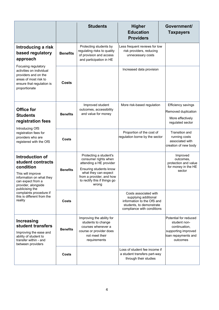|                                                                                                                                                                                                                                       |                 | <b>Students</b>                                                                                                                                                                                  | <b>Higher</b><br><b>Education</b><br><b>Providers</b>                                                                                 | Government/<br><b>Taxpayers</b>                                                                                  |
|---------------------------------------------------------------------------------------------------------------------------------------------------------------------------------------------------------------------------------------|-----------------|--------------------------------------------------------------------------------------------------------------------------------------------------------------------------------------------------|---------------------------------------------------------------------------------------------------------------------------------------|------------------------------------------------------------------------------------------------------------------|
| Introducing a risk<br>based regulatory<br>approach                                                                                                                                                                                    | <b>Benefits</b> | Protecting students by<br>regulating risks to quality<br>of provision and access<br>and participation in HE                                                                                      | Less frequent reviews for low<br>risk providers, reducing<br>unnecessary costs                                                        |                                                                                                                  |
| Focusing regulatory<br>activities on individual<br>providers and on the<br>areas of most risk to<br>ensure that regulation is<br>proportionate                                                                                        | Costs           |                                                                                                                                                                                                  | Increased data provision                                                                                                              |                                                                                                                  |
| <b>Office for</b><br><b>Students</b><br>registration fees<br>Introducing OfS<br>registration fees for<br>providers who are<br>registered with the OfS                                                                                 | <b>Benefits</b> | Improved student<br>outcomes, accessibility<br>and value for money                                                                                                                               | More risk-based regulation                                                                                                            | Efficiency savings<br>Removed duplication<br>More effectively<br>regulated sector                                |
|                                                                                                                                                                                                                                       | <b>Costs</b>    |                                                                                                                                                                                                  | Proportion of the cost of<br>regulation borne by the sector                                                                           | Transition and<br>running costs<br>associated with<br>creation of new body                                       |
| Introduction of<br>student contracts<br>condition<br>This will improve<br>information on what they<br>can expect from a<br>provider, alongside<br>publicising the<br>complaints procedure if<br>this is different from the<br>reality | <b>Benefits</b> | Protecting a student's<br>consumer rights when<br>attending a HE provider<br>Ensuring students know<br>what they can expect<br>from a provider, and how<br>to rectify this if things go<br>wrong |                                                                                                                                       | Improved<br>outcomes,<br>protection and value<br>for money in the HE<br>sector                                   |
|                                                                                                                                                                                                                                       | Costs           |                                                                                                                                                                                                  | Costs associated with<br>supplying additional<br>information to the OfS and<br>students, to demonstrate<br>compliance with conditions |                                                                                                                  |
| <b>Increasing</b><br>student transfers<br>Improving the ease and<br>ability of student to<br>transfer within - and<br>between providers                                                                                               | <b>Benefits</b> | Improving the ability for<br>students to change<br>courses whenever a<br>course or provider does<br>not meet their<br>requirements                                                               |                                                                                                                                       | Potential for reduced<br>student non-<br>continuation,<br>supporting improved<br>loan repayments and<br>outcomes |
|                                                                                                                                                                                                                                       | <b>Costs</b>    |                                                                                                                                                                                                  | Loss of student fee income if<br>a student transfers part-way<br>through their studies                                                |                                                                                                                  |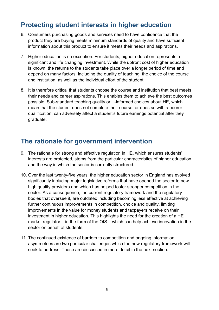## **Protecting student interests in higher education**

- 6. Consumers purchasing goods and services need to have confidence that the product they are buying meets minimum standards of quality and have sufficient information about this product to ensure it meets their needs and aspirations.
- 7. Higher education is no exception. For students, higher education represents a significant and life changing investment. While the upfront cost of higher education is known, the returns to the students take place over a longer period of time and depend on many factors, including the quality of teaching, the choice of the course and institution, as well as the individual effort of the student.
- 8. It is therefore critical that students choose the course and institution that best meets their needs and career aspirations. This enables them to achieve the best outcomes possible. Sub-standard teaching quality or ill-informed choices about HE, which mean that the student does not complete their course, or does so with a poorer qualification, can adversely affect a student's future earnings potential after they graduate.

## **The rationale for government intervention**

- 9. The rationale for strong and effective regulation in HE, which ensures students' interests are protected, stems from the particular characteristics of higher education and the way in which the sector is currently structured.
- 10. Over the last twenty-five years, the higher education sector in England has evolved significantly including major legislative reforms that have opened the sector to new high quality providers and which has helped foster stronger competition in the sector. As a consequence, the current regulatory framework and the regulatory bodies that oversee it, are outdated including becoming less effective at achieving further continuous improvements in competition, choice and quality, limiting improvements in the value for money students and taxpayers receive on their investment in higher education. This highlights the need for the creation of a HE market regulator – in the form of the OfS – which can help achieve innovation in the sector on behalf of students.
- 11. The continued existence of barriers to competition and ongoing information asymmetries are two particular challenges which the new regulatory framework will seek to address. These are discussed in more detail in the next section.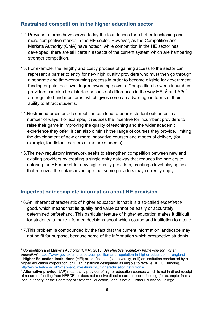#### **Restrained competition in the higher education sector**

- 12. Previous reforms have served to lay the foundations for a better functioning and more competitive market in the HE sector. However, as the Competition and Markets Authority (CMA) have noted<sup>2</sup>, while competition in the HE sector has developed, there are still certain aspects of the current system which are hampering stronger competition.
- 13. For example, the lengthy and costly process of gaining access to the sector can represent a barrier to entry for new high quality providers who must then go through a separate and time-consuming process in order to become eligible for government funding or gain their own degree awarding powers. Competition between incumbent providers can also be distorted because of differences in the way HEIs<sup>[3](#page-5-1)</sup> and APs<sup>[4](#page-5-2)</sup> are regulated and monitored, which gives some an advantage in terms of their ability to attract students.
- 14.Restrained or distorted competition can lead to poorer student outcomes in a number of ways. For example, it reduces the incentive for incumbent providers to raise their game in improving the quality of teaching and the wider academic experience they offer. It can also diminish the range of courses they provide, limiting the development of new or more innovative courses and modes of delivery (for example, for distant learners or mature students).
- 15.The new regulatory framework seeks to strengthen competition between new and existing providers by creating a single entry gateway that reduces the barriers to entering the HE market for new high quality providers, creating a level playing field that removes the unfair advantage that some providers may currently enjoy.

#### **Imperfect or incomplete information about HE provision**

- 16.An inherent characteristic of higher education is that it is a so-called *experience* good, which means that its quality and value cannot be easily or accurately determined beforehand. This particular feature of higher education makes it difficult for students to make informed decisions about which course and institution to attend.
- 17.This problem is compounded by the fact that the current information landscape may not be fit for purpose, because some of the information which prospective students

<span id="page-5-0"></span> $\overline{\phantom{a}}$ <sup>2</sup> Competition and Markets Authority (CMA), 2015, '*An effective regulatory framework for higher education'*, <https://www.gov.uk/cma-cases/competition-and-regulation-in-higher-education-in-england> <sup>3</sup> **Higher Education Institutions** (HEI) are defined as i) a university, or ii) an institution conducted by a

<span id="page-5-1"></span>higher education corporation, or iii) an institution designated as eligible to receive HEFCE funding, [http://www.hefce.ac.uk/whatwedo/invest/unicoll//highereducationinstitutions/](http://www.hefce.ac.uk/whatwedo/invest/unicoll/highereducationinstitutions/)

<span id="page-5-2"></span><sup>4</sup> **Alternative provider** (AP) means any provider of higher education courses which is not in direct receipt of recurrent funding from HEFCE; or does not receive direct recurrent public funding (for example, from a local authority, or the Secretary of State for Education); and is not a Further Education College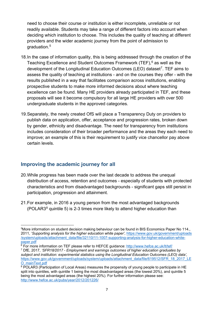need to choose their course or institution is either incomplete, unreliable or not readily available. Students may take a range of different factors into account when deciding which institution to choose. This includes the quality of teaching at different providers and the wider academic journey from the point of admission to graduation.[5](#page-6-0)

- 18.In the case of information quality, this is being addressed through the creation of the Teaching Excellence and Student Outcomes Framework (TEF), [6](#page-6-1) as well as the development of the Longitudinal Education Outcomes (LEO) dataset<sup>[7](#page-6-2)</sup>. TEF aims to assess the quality of teaching at institutions - and on the courses they offer - with the results published in a way that facilitates comparison across institutions, enabling prospective students to make more informed decisions about where teaching excellence can be found. Many HE providers already participated in TEF, and these proposals will see it become compulsory for all large HE providers with over 500 undergraduate students in the approved categories.
- 19.Separately, the newly created OfS will place a Transparency Duty on providers to publish data on application, offer, acceptance and progression rates, broken down by gender, ethnicity and disadvantage. The need for transparency from institutions includes consideration of their broader performance and the areas they each need to improve; an example of this is their requirement to justify vice chancellor pay above certain levels.

#### **Improving the academic journey for all**

- 20.While progress has been made over the last decade to address the unequal distribution of access, retention and outcomes - especially of students with protected characteristics and from disadvantaged backgrounds - significant gaps still persist in participation, progression and attainment.
- 21.For example, in 2016 a young person from the most advantaged backgrounds  $(POLAR3<sup>8</sup>$  $(POLAR3<sup>8</sup>$  $(POLAR3<sup>8</sup>$  quintile 5) is 2-3 times more likely to attend higher education than

<span id="page-6-0"></span>l 5More information on student decision making behaviour can be found in BIS Economics Paper No 114., 2011, '*Supporting analysis for the higher education white paper',* [https://www.gov.uk/government/uploads](https://www.gov.uk/government/uploads/system/uploads/attachment_data/file/32110/11-1007-supporting-analysis-for-higher-education-white-paper.pdf) [/system/uploads/attachment\\_data/file/32110/11-1007-supporting-analysis-for-higher-education-white](https://www.gov.uk/government/uploads/system/uploads/attachment_data/file/32110/11-1007-supporting-analysis-for-higher-education-white-paper.pdf)[paper.pdf](https://www.gov.uk/government/uploads/system/uploads/attachment_data/file/32110/11-1007-supporting-analysis-for-higher-education-white-paper.pdf)

<span id="page-6-1"></span> $6$  For more information on TEF please refer to HEFCE quidance:<http://www.hefce.ac.uk/lt/tef/>

<span id="page-6-2"></span><sup>7</sup> DfE, 2017, *'SFR18/2017 - Employment and earnings outcomes of higher education graduates by subject and institution: experimental statistics using the Longitudinal Education Outcomes (LEO) data'*, [https://www.gov.uk/government/uploads/system/uploads/attachment\\_data/file/619512/SFR\\_18\\_2017\\_LE](https://www.gov.uk/government/uploads/system/uploads/attachment_data/file/619512/SFR_18_2017_LEO_mainText.pdf) [O\\_mainText.pdf](https://www.gov.uk/government/uploads/system/uploads/attachment_data/file/619512/SFR_18_2017_LEO_mainText.pdf)

<span id="page-6-3"></span><sup>8</sup> POLAR3 (Participation of Local Areas) measures the propensity of young people to participate in HE split into quintiles, with quintile 1 being the most disadvantaged areas (the lowest 20%), and quintile 5 being the most advantaged areas (the highest 20%). For further information please see: <http://www.hefce.ac.uk/pubs/year/2012/201226/>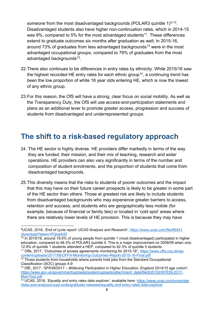someone from the most disadvantaged backgrounds (POLAR3 quintile 1) $9,10$  $9,10$ . Disadvantaged students also have higher non-continuation rates, which in 2014-15 was 9%, compared to 5% for the most advantaged students<sup>11</sup>. These differences extend to graduate outcomes six months after graduation as well; In 2015-16, around 73% of graduates from less advantaged backgrounds<sup>[12](#page-7-3)</sup> were in the most advantaged occupational groups, compared to 79% of graduates from the most advantaged backgrounds<sup>13</sup>.

- 22.There also continues to be differences in entry rates by ethnicity. While 2015/16 saw the highest recorded HE entry rates for each ethnic group<sup>[14](#page-7-5)</sup>, a continuing trend has been the low proportion of white 18 year olds entering HE, which is now the lowest of any ethnic group.
- 23.For this reason, the OfS will have a strong, clear focus on social mobility. As well as the Transparency Duty, the OfS will use access-and-participation statements and plans as an additional lever to promote greater access, progression and success of students from disadvantaged and underrepresented groups.

## **The shift to a risk-based regulatory approach**

- 24. The HE sector is highly diverse. HE providers differ markedly in terms of the way they are funded, their mission, and their mix of teaching, research and wider operations. HE providers can also vary significantly in terms of the number and composition of student enrolments, and the proportion of students that come from disadvantaged backgrounds.
- 25.This diversity means that the risks to students of poorer outcomes and the impact that this may have on their future career prospects is likely to be greater in some part of the HE sector than others. Those at greatest risk are likely to include students from disadvantaged backgrounds who may experience greater barriers to access, retention and success, and students who are geographically less mobile (for example, because of financial or family ties) or located in 'cold spot' areas where there are relatively lower levels of HE provision. This is because they may have

<span id="page-7-2"></span><sup>11</sup> Offa, 2017, "Outcomes of access agreements monitoring for 2015-16", [https://www.offa.org.uk/wp](https://www.offa.org.uk/wp-content/uploads/2017/06/OFFA-Monitoring-Outcomes-Report-2015-16-Final.pdf)[content/uploads/2017/06/OFFA-Monitoring-Outcomes-Report-2015-16-Final.pdf](https://www.offa.org.uk/wp-content/uploads/2017/06/OFFA-Monitoring-Outcomes-Report-2015-16-Final.pdf)

l

<span id="page-7-0"></span><sup>9</sup>UCAS, 2016, *'End of cycle report: UCAS Analysis and Research'*, [https://www.ucas.com/file/86541](https://www.ucas.com/file/86541/download?token=PQnaAI5f) [/download?token=PQnaAI5f](https://www.ucas.com/file/86541/download?token=PQnaAI5f)

<span id="page-7-1"></span><sup>&</sup>lt;sup>10</sup> In 2015/16, around 19.5% of young people from quintile 1 (most disadvantaged) participated in higher education, compared to 46.3% of POLAR3 quintile 5. This is a major improvement on 2008/09 when only 12.9% of quintile 1 students attended a HEP, compared to 42.3% of quintile 5 students

<span id="page-7-3"></span> $12$  Those students from households where parents hold jobs from the Standard Occupational Classification (SOC) groups 4-9

<span id="page-7-4"></span><sup>13</sup> DfE, 2017, *'SFR39/2017 – Widening Participation in Higher Education, England 2014/15 age cohort'*, [https://www.gov.uk/government/uploads/system/uploads/attachment\\_data/file/635103/SFR39-2017-](https://www.gov.uk/government/uploads/system/uploads/attachment_data/file/635103/SFR39-2017-MainText.pdf) [MainText.pdf](https://www.gov.uk/government/uploads/system/uploads/attachment_data/file/635103/SFR39-2017-MainText.pdf)

<span id="page-7-5"></span><sup>14</sup> UCAS, 2016, *'Equality and entry rates data explorer'*, available here: [https://www.ucas.com/corporate](https://www.ucas.com/corporate/data-and-analysis/ucas-undergraduate-releases/equality-and-entry-rates-data-explorer) [/data-and-analysis/ucas-undergraduate-releases/equality-and-entry-rates-data-explorer](https://www.ucas.com/corporate/data-and-analysis/ucas-undergraduate-releases/equality-and-entry-rates-data-explorer)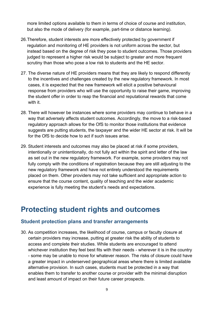more limited options available to them in terms of choice of course and institution, but also the mode of delivery (for example, part-time or distance learning).

- 26.Therefore, student interests are more effectively protected by government if regulation and monitoring of HE providers is not uniform across the sector, but instead based on the degree of risk they pose to student outcomes. Those providers judged to represent a higher risk would be subject to greater and more frequent scrutiny than those who pose a low risk to students and the HE sector.
- 27. The diverse nature of HE providers means that they are likely to respond differently to the incentives and challenges created by the new regulatory framework. In most cases, it is expected that the new framework will elicit a positive behavioural response from providers who will use the opportunity to raise their game, improving the student offer in order to reap the financial and reputational rewards that come with it.
- 28. There will however be instances where some providers may continue to behave in a way that adversely affects student outcomes. Accordingly, the move to a risk-based regulatory approach allows for the OfS to monitor those institutions that evidence suggests are putting students, the taxpayer and the wider HE sector at risk. It will be for the OfS to decide how to act if such issues arise.
- 29. Student interests and outcomes may also be placed at risk if some providers, intentionally or unintentionally, do not fully act within the spirit and letter of the law as set out in the new regulatory framework. For example, some providers may not fully comply with the conditions of registration because they are still adjusting to the new regulatory framework and have not entirely understood the requirements placed on them. Other providers may not take sufficient and appropriate action to ensure that the course content, quality of teaching and the wider academic experience is fully meeting the student's needs and expectations.

## **Protecting student rights and outcomes**

#### **Student protection plans and transfer arrangements**

30. As competition increases, the likelihood of course, campus or faculty closure at certain providers may increase, putting at greater risk the ability of students to access and complete their studies. While students are encouraged to attend whichever institution they feel best fits with their needs - wherever it is in the country - some may be unable to move for whatever reason. The risks of closure could have a greater impact in underserved geographical areas where there is limited available alternative provision. In such cases, students must be protected in a way that enables them to transfer to another course or provider with the minimal disruption and least amount of impact on their future career prospects.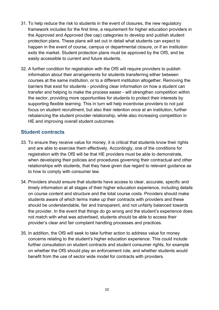- 31. To help reduce the risk to students in the event of closures, the new regulatory framework includes for the first time, a requirement for higher education providers in the Approved and Approved (fee cap) categories to develop and publish student protection plans. These plans will set out in detail what students can expect to happen in the event of course, campus or departmental closure, or if an institution exits the market. Student protection plans must be approved by the OfS, and be easily accessible to current and future students.
- 32. A further condition for registration with the OfS will require providers to publish information about their arrangements for students transferring either between courses at the same institution, or to a different institution altogether. Removing the barriers that exist for students - providing clear information on how a student can transfer and helping to make the process easier - will strengthen competition within the sector, providing more opportunities for students to protect their interests by supporting flexible learning. This in turn will help incentivise providers to not just focus on student recruitment, but also their retention once at an institution, further rebalancing the student provider relationship, while also increasing competition in HE and improving overall student outcomes.

#### **Student contracts**

- 33. To ensure they receive value for money, it is critical that students know their rights and are able to exercise them effectively. Accordingly, one of the conditions for registration with the OfS will be that HE providers must be able to demonstrate, when developing their policies and procedures governing their contractual and other relationships with students, that they have given due regard to relevant guidance as to how to comply with consumer law.
- 34. Providers should ensure that students have access to clear, accurate, specific and timely information at all stages of their higher education experience, including details on course content and structure and the total course costs. Providers should make students aware of which terms make up their contracts with providers and these should be understandable, fair and transparent, and not unfairly balanced towards the provider. In the event that things do go wrong and the student's experience does not match with what was advertised, students should be able to access their provider's clear and fair complaint handling processes and practices.
- 35. In addition, the OfS will seek to take further action to address value for money concerns relating to the student's higher education experience. This could include further consultation on student contracts and student consumer rights, for example on whether the OfS should play an enforcement role, and whether students would benefit from the use of sector wide model for contracts with providers.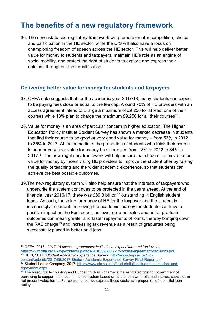## **The benefits of a new regulatory framework**

36. The new risk-based regulatory framework will promote greater competition, choice and participation in the HE sector; while the OfS will also have a focus on championing freedom of speech across the HE sector. This will help deliver better value for money to students and taxpayers, maintain HE's role as an engine of social mobility, and protect the right of students to explore and express their opinions throughout their qualification.

#### **Delivering better value for money for students and taxpayers**

- 37. OFFA data suggests that for the academic year 2017/18, many students can expect to be paying fees close or equal to the fee cap. Around 70% of HE providers with an access agreement intend to charge a maximum of £9,250 for at least one of their courses while 18% plan to charge the maximum  $£9,250$  for all their courses<sup>[15](#page-10-0)</sup>.
- 38. Value for money is an area of particular concern in higher education. The Higher Education Policy Institute Student Survey has shown a marked decrease in students that find their course to be good or very good value for money – from 53% in 2012 to 35% in 2017. At the same time, the proportion of students who think their course is poor or very poor value for money has increased from 18% in 2012 to 34% in 2017[16.](#page-10-1) The new regulatory framework will help ensure that students achieve better value for money by incentivising HE providers to improve the student offer by raising the quality of teaching and the wider academic experience, so that students can achieve the best possible outcomes.
- 39.The new regulatory system will also help ensure that the interests of taxpayers who underwrite the system continues to be protected in the years ahead. At the end of financial year 2016/[17](#page-10-2), there was £89.3 billion<sup>17</sup> outstanding in English student loans. As such, the value for money of HE for the taxpayer and the student is increasingly important. Improving the academic journey for students can have a positive impact on the Exchequer, as lower drop-out rates and better graduate outcomes can mean greater and faster repayments of loans, thereby bringing down the RAB charge<sup>[18](#page-10-3)</sup> and increasing tax revenue as a result of graduates being successfully placed in better paid jobs.

<span id="page-10-2"></span><span id="page-10-1"></span>[content/uploads/2017/06/2017-Student-Academic-Experience-Survey-Final-Report.pdf](http://www.hepi.ac.uk/wp-content/uploads/2017/06/2017-Student-Academic-Experience-Survey-Final-Report.pdf) 17 Student Loans Company, 2017, [https://www.slc.co.uk/official-statistics/student-loans-debt-and](https://www.slc.co.uk/official-statistics/student-loans-debt-and-repayment.aspx)[repayment.aspx](https://www.slc.co.uk/official-statistics/student-loans-debt-and-repayment.aspx)

<span id="page-10-0"></span> $\overline{a}$ <sup>15</sup> OFFA, 2016, '*2017-18 access agreements: institutional expenditure and fee levels',* <https://www.offa.org.uk/wp-content/uploads/2016/09/2017-18-access-agreement-decisions.pdf> <sup>16</sup> HEPI, 2017, '*Student Academic Experience Survey',* [http://www.hepi.ac.uk/wp-](http://www.hepi.ac.uk/wp-content/uploads/2017/06/2017-Student-Academic-Experience-Survey-Final-Report.pdf)

<span id="page-10-3"></span> $\frac{18}{18}$  The Resource Accounting and Budgeting (RAB) charge is the estimated cost to Government of borrowing to support the student finance system based on future loan write-offs and interest subsidies in net present value terms. For convenience, we express these costs as a proportion of the initial loan outlay.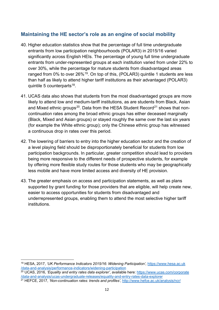#### **Maintaining the HE sector's role as an engine of social mobility**

- 40. Higher education statistics show that the percentage of full time undergraduate entrants from low participation neighbourhoods (POLAR3) in 2015/16 varied significantly across English HEIs. The percentage of young full time undergraduate entrants from under-represented groups at each institution varied from under 22% to over 30%, while the percentage for mature students from disadvantaged areas ranged from 0% to over 26%<sup>19</sup>. On top of this, (POLAR3) quintile 1 students are less than half as likely to attend higher tariff institutions as their advantaged (POLAR3) quintile 5 counterparts $18$ .
- 41. UCAS data also shows that students from the most disadvantaged groups are more likely to attend low and medium-tariff institutions, as are students from Black, Asian and Mixed ethnic groups<sup>20</sup>. Data from the HESA Student Record<sup>[21](#page-11-2)</sup> shows that noncontinuation rates among the broad ethnic groups has either deceased marginally (Black, Mixed and Asian groups) or stayed roughly the same over the last six years (for example the White ethnic group); only the Chinese ethnic group has witnessed a continuous drop in rates over this period.
- 42. The lowering of barriers to entry into the higher education sector and the creation of a level playing field should be disproportionately beneficial for students from low participation backgrounds. In particular, greater competition should lead to providers being more responsive to the different needs of prospective students, for example by offering more flexible study routes for those students who may be geographically less mobile and have more limited access and diversity of HE provision.
- 43. The greater emphasis on access and participation statements, as well as plans supported by grant funding for those providers that are eligible, will help create new, easier to access opportunities for students from disadvantaged and underrepresented groups, enabling them to attend the most selective higher tariff institutions.

<span id="page-11-0"></span> $\overline{\phantom{a}}$ <sup>19</sup> HESA, 2017, *'UK Performance Indicators 2015/16: Widening Participation'*, [https://www.hesa.ac.uk](https://www.hesa.ac.uk/data-and-analysis/performance-indicators/widening-participation) [/data-and-analysis/performance-indicators/widening-participation](https://www.hesa.ac.uk/data-and-analysis/performance-indicators/widening-participation)

<span id="page-11-1"></span><sup>20</sup> UCAS, 2016, *'Equality and entry rates data explorer'*, available here: [https://www.ucas.com/corporate](https://www.ucas.com/corporate/data-and-analysis/ucas-undergraduate-releases/equality-and-entry-rates-data-explorer) [/data-and-analysis/ucas-undergraduate-releases/equality-and-entry-rates-data-explorer](https://www.ucas.com/corporate/data-and-analysis/ucas-undergraduate-releases/equality-and-entry-rates-data-explorer)

<span id="page-11-2"></span><sup>21</sup> HEFCE, 2017, *'Non-continuation rates: trends and profiles'*,<http://www.hefce.ac.uk/analysis/ncr/>